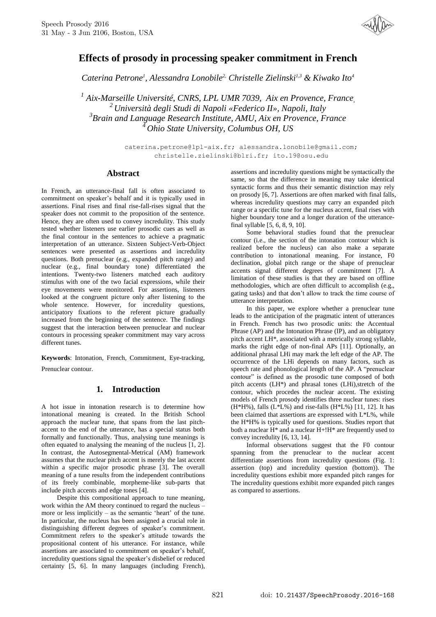

# **Effects of prosody in processing speaker commitment in French**

*Caterina Petrone<sup>1</sup> , Alessandra Lonobile2, Christelle Zielinski1,3 & Kiwako Ito<sup>4</sup>*

 *Aix-Marseille Université, CNRS, LPL UMR 7039, Aix en Provence, France, Università degli Studi di Napoli «Federico II», Napoli, Italy Brain and Language Research Institute, AMU, Aix en Provence, France Ohio State University, Columbus OH, US*

> caterina.petrone@lpl-aix.fr; alessandra.lonobile@gmail.com; christelle.zielinski@blri.fr; ito.19@osu.edu

## **Abstract**

In French, an utterance-final fall is often associated to commitment on speaker's behalf and it is typically used in assertions. Final rises and final rise-fall-rises signal that the speaker does not commit to the proposition of the sentence. Hence, they are often used to convey incredulity. This study tested whether listeners use earlier prosodic cues as well as the final contour in the sentences to achieve a pragmatic interpretation of an utterance. Sixteen Subject-Verb-Object sentences were presented as assertions and incredulity questions. Both prenuclear (e.g., expanded pitch range) and nuclear (e.g., final boundary tone) differentiated the intentions. Twenty-two listeners matched each auditory stimulus with one of the two facial expressions, while their eye movements were monitored. For assertions, listeners looked at the congruent picture only after listening to the whole sentence. However, for incredulity questions, anticipatory fixations to the referent picture gradually increased from the beginning of the sentence. The findings suggest that the interaction between prenuclear and nuclear contours in processing speaker commitment may vary across different tunes.

**Keywords**: Intonation, French, Commitment, Eye-tracking, Prenuclear contour.

## **1. Introduction**

A hot issue in intonation research is to determine how intonational meaning is created. In the British School approach the nuclear tune, that spans from the last pitchaccent to the end of the utterance, has a special status both formally and functionally. Thus, analysing tune meanings is often equated to analysing the meaning of the nucleus [1, 2]. In contrast, the Autosegmental-Metrical (AM) framework assumes that the nuclear pitch accent is merely the last accent within a specific major prosodic phrase [3]. The overall meaning of a tune results from the independent contributions of its freely combinable, morpheme-like sub-parts that include pitch accents and edge tones [4].

Despite this compositional approach to tune meaning, work within the AM theory continued to regard the nucleus – more or less implicitly – as the semantic 'heart' of the tune. In particular, the nucleus has been assigned a crucial role in distinguishing different degrees of speaker's commitment. Commitment refers to the speaker's attitude towards the propositional content of his utterance. For instance, while assertions are associated to commitment on speaker's behalf, incredulity questions signal the speaker's disbelief or reduced certainty [5, 6]. In many languages (including French),

assertions and incredulity questions might be syntactically the same, so that the difference in meaning may take identical syntactic forms and thus their semantic distinction may rely on prosody [6, 7]. Assertions are often marked with final falls, whereas incredulity questions may carry an expanded pitch range or a specific tune for the nucleus accent, final rises with higher boundary tone and a longer duration of the utterancefinal syllable [5, 6, 8, 9, 10].

Some behavioral studies found that the prenuclear contour (i.e., the section of the intonation contour which is realized before the nucleus) can also make a separate contribution to intonational meaning. For instance, F0 declination, global pitch range or the shape of prenuclear accents signal different degrees of commitment [7]. A limitation of these studies is that they are based on offline methodologies, which are often difficult to accomplish (e.g., gating tasks) and that don't allow to track the time course of utterance interpretation.

In this paper, we explore whether a prenuclear tune leads to the anticipation of the pragmatic intent of utterances in French. French has two prosodic units: the Accentual Phrase (AP) and the Intonation Phrase (IP), and an obligatory pitch accent LH\*, associated with a metrically strong syllable, marks the right edge of non-final APs [11]. Optionally, an additional phrasal LHi may mark the left edge of the AP. The occurrence of the LHi depends on many factors, such as speech rate and phonological length of the AP. A "prenuclear contour" is defined as the prosodic tune composed of both pitch accents (LH\*) and phrasal tones (LHi),stretch of the contour, which procedes the nuclear accent. The existing models of French prosody identifies three nuclear tunes: rises  $(H*H\%)$ , falls  $(L*L\%)$  and rise-falls  $(H*L\%)$  [11, 12]. It has been claimed that assertions are expressed with L\*L%, while the H\*H% is typically used for questions. Studies report that both a nuclear  $H^*$  and a nuclear  $H^*$ ! H<sup>\*</sup> are frequently used to convey incredulity [6, 13, 14].

Informal observations suggest that the F0 contour spanning from the prenuclear to the nuclear accent differentiate assertions from incredulity questions (Fig. 1: assertion (top) and incredulity question (bottom)). The incredulity questions exhibit more expanded pitch ranges for The incredulity questions exhibit more expanded pitch ranges as compared to assertions.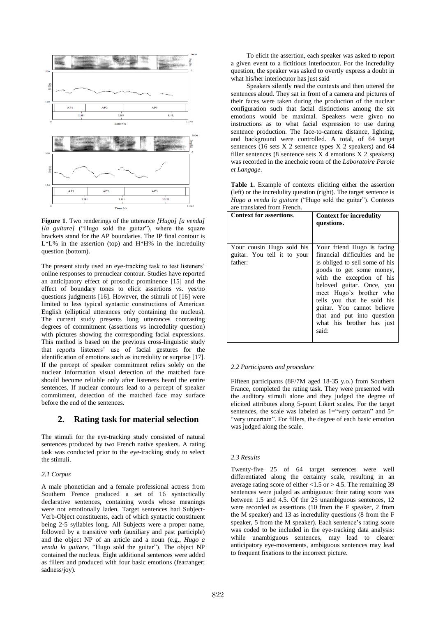

**Figure 1**. Two renderings of the utterance *[Hugo] [a vendu] [la guitare]* ("Hugo sold the guitar"), where the square brackets stand for the AP boundaries. The IP final contour is L\*L% in the assertion (top) and H\*H% in the incredulity question (bottom).

The present study used an eye-tracking task to test listeners' online responses to prenuclear contour. Studies have reported an anticipatory effect of prosodic prominence [15] and the effect of boundary tones to elicit assertions vs. yes/no questions judgments [16]. However, the stimuli of [16] were limited to less typical syntactic constructions of American English (elliptical utterances only containing the nucleus). The current study presents long utterances contrasting degrees of commitment (assertions vs incredulity question) with pictures showing the corresponding facial expressions. This method is based on the previous cross-linguistic study that reports listeners' use of facial gestures for the identification of emotions such as incredulity or surprise [17]. If the percept of speaker commitment relies solely on the nuclear information visual detection of the matched face should become reliable only after listeners heard the entire sentences. If nuclear contours lead to a percept of speaker commitment, detection of the matched face may surface before the end of the sentences.

## **2. Rating task for material selection**

The stimuli for the eye-tracking study consisted of natural sentences produced by two French native speakers. A rating task was conducted prior to the eye-tracking study to select the stimuli.

#### *2.1 Corpus*

A male phonetician and a female professional actress from Southern Frence produced a set of 16 syntactically declarative sentences, containing words whose meanings were not emotionally laden. Target sentences had Subject-Verb-Object constituents, each of which syntactic constituent being 2-5 syllables long. All Subjects were a proper name, followed by a transitive verb (auxiliary and past participle) and the object NP of an article and a noun (e.g., *Hugo a vendu la guitare*, "Hugo sold the guitar"). The object NP contained the nucleus. Eight additional sentences were added as fillers and produced with four basic emotions (fear/anger; sadness/joy).

To elicit the assertion, each speaker was asked to report a given event to a fictitious interlocutor. For the incredulity question, the speaker was asked to overtly express a doubt in what his/her interlocutor has just said

Speakers silently read the contexts and then uttered the sentences aloud. They sat in front of a camera and pictures of their faces were taken during the production of the nuclear configuration such that facial distinctions among the six emotions would be maximal. Speakers were given no instructions as to what facial expression to use during sentence production. The face-to-camera distance, lighting, and background were controlled. A total, of 64 target sentences (16 sets X 2 sentence types X 2 speakers) and 64 filler sentences (8 sentence sets  $X$  4 emotions  $X$  2 speakers) was recorded in the anechoic room of the *Laboratoire Parole et Langage*.

**Table 1.** Example of contexts eliciting either the assertion (left) or the incredulity question (right). The target sentence is *Hugo a vendu la guitare* ("Hugo sold the guitar"). Contexts are translated from French.

| <b>Context for assertions.</b>                                      | <b>Context for incredulity</b><br>questions.                                                                                                                                                                                                                                                                                                   |
|---------------------------------------------------------------------|------------------------------------------------------------------------------------------------------------------------------------------------------------------------------------------------------------------------------------------------------------------------------------------------------------------------------------------------|
| Your cousin Hugo sold his<br>guitar. You tell it to your<br>father: | Your friend Hugo is facing<br>financial difficulties and he<br>is obliged to sell some of his<br>goods to get some money,<br>with the exception of his<br>beloved guitar. Once, you<br>meet Hugo's brother who<br>tells you that he sold his<br>guitar. You cannot believe<br>that and put into question<br>what his brother has just<br>said: |

#### *2.2 Participants and procedure*

Fifteen participants (8F/7M aged 18-35 y.o.) from Southern France, completed the rating task. They were presented with the auditory stimuli alone and they judged the degree of elicited attributes along 5-point Likert scales. For the target sentences, the scale was labeled as  $1="$  very certain" and  $5=$ "very uncertain". For fillers, the degree of each basic emotion was judged along the scale.

#### *2.3 Results*

Twenty-five 25 of 64 target sentences were well differentiated along the certainty scale, resulting in an average rating score of either  $< 1.5$  or  $> 4.5$ . The remaining 39 sentences were judged as ambiguous: their rating score was between 1.5 and 4.5. Of the 25 unambiguous sentences, 12 were recorded as assertions (10 from the F speaker, 2 from the M speaker) and 13 as incredulity questions (8 from the F speaker, 5 from the M speaker). Each sentence's rating score was coded to be included in the eye-tracking data analysis: while unambiguous sentences, may lead to clearer anticipatory eye-movements, ambiguous sentences may lead to frequent fixations to the incorrect picture.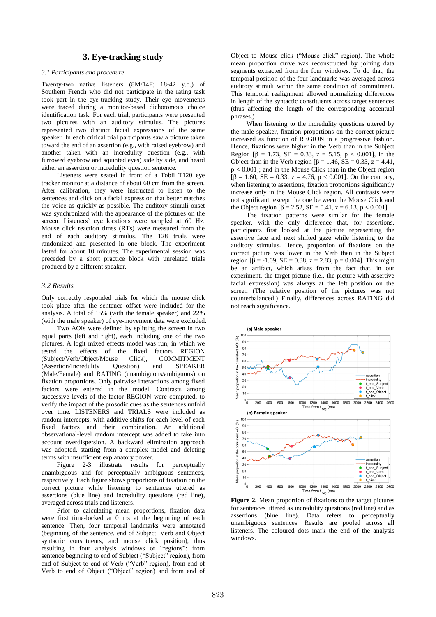## **3. Eye-tracking study**

#### *3.1 Participants and procedure*

Twenty-two native listeners (8M/14F; 18-42 y.o.) of Southern French who did not participate in the rating task took part in the eye-tracking study. Their eye movements were traced during a monitor-based dichotomous choice identification task. For each trial, participants were presented two pictures with an auditory stimulus. The pictures represented two distinct facial expressions of the same speaker. In each critical trial participants saw a picture taken toward the end of an assertion (e.g., with raised eyebrow) and another taken with an incredulity question (e.g., with furrowed eyebrow and squinted eyes) side by side, and heard either an assertion or incredulity question sentence.

Listeners were seated in front of a Tobii T120 eye tracker monitor at a distance of about 60 cm from the screen. After calibration, they were instructed to listen to the sentences and click on a facial expression that better matches the voice as quickly as possible. The auditory stimuli onset was synchronized with the appearance of the pictures on the screen. Listeners' eye locations were sampled at 60 Hz. Mouse click reaction times (RTs) were measured from the end of each auditory stimulus. The 128 trials were randomized and presented in one block. The experiment lasted for about 10 minutes. The experimental session was preceded by a short practice block with unrelated trials produced by a different speaker.

### *3.2 Results*

Only correctly responded trials for which the mouse click took place after the sentence offset were included for the analysis. A total of 15% (with the female speaker) and 22% (with the male speaker) of eye-movement data were excluded.

Two AOIs were defined by splitting the screen in two equal parts (left and right), each including one of the two pictures. A logit mixed effects model was run, in which we tested the effects of the fixed factors REGION (Subject/Verb/Object/Mouse Click), COMMITMENT (Assertion/Incredulity Question) and SPEAKER (Male/Female) and RATING (unambiguous/ambiguous) on fixation proportions. Only pairwise interactions among fixed factors were entered in the model. Contrasts among successive levels of the factor REGION were computed, to verify the impact of the prosodic cues as the sentences unfold over time. LISTENERS and TRIALS were included as random intercepts, with additive shifts for each level of each fixed factors and their combination. An additional observational-level random intercept was added to take into account overdispersion. A backward elimination approach was adopted, starting from a complex model and deleting terms with insufficient explanatory power.

Figure 2-3 illustrate results for perceptually unambiguous and for perceptually ambiguous sentences, respectively. Each figure shows proportions of fixation on the correct picture while listening to sentences uttered as assertions (blue line) and incredulity questions (red line), averaged across trials and listeners.

Prior to calculating mean proportions, fixation data were first time-locked at 0 ms at the beginning of each sentence. Then, four temporal landmarks were annotated (beginning of the sentence, end of Subject, Verb and Object syntactic constituents, and mouse click position), thus resulting in four analysis windows or "regions": from sentence beginning to end of Subject ("Subject" region), from end of Subject to end of Verb ("Verb" region), from end of Verb to end of Object ("Object" region) and from end of Object to Mouse click ("Mouse click" region). The whole mean proportion curve was reconstructed by joining data segments extracted from the four windows. To do that, the temporal position of the four landmarks was averaged across auditory stimuli within the same condition of commitment. This temporal realignment allowed normalizing differences in length of the syntactic constituents across target sentences (thus affecting the length of the corresponding accentual phrases.)

When listening to the incredulity questions uttered by the male speaker, fixation proportions on the correct picture increased as function of REGION in a progressive fashion. Hence, fixations were higher in the Verb than in the Subject Region  $\beta = 1.73$ , SE = 0.33, z = 5.15, p < 0.001], in the Object than in the Verb region  $\beta$  = 1.46, SE = 0.33, z = 4.41, p < 0.001]; and in the Mouse Click than in the Object region  $\hat{[\beta]} = 1.60$ ,  $SE = 0.33$ ,  $z = 4.76$ ,  $p < 0.001$ ]. On the contrary, when listening to assertions, fixation proportions significantly increase only in the Mouse Click region. All contrasts were not significant, except the one between the Mouse Click and the Object region  $[\beta = 2.52, SE = 0.41, z = 6.13, p < 0.001]$ .

The fixation patterns were similar for the female speaker, with the only difference that, for assertions, participants first looked at the picture representing the assertive face and next shifted gaze while listening to the auditory stimulus. Hence, proportion of fixations on the correct picture was lower in the Verb than in the Subject region  $\bar{\beta} = -1.09$ ,  $SE = 0.38$ ,  $z = 2.83$ ,  $p = 0.004$ . This might be an artifact, which arises from the fact that, in our experiment, the target picture (i.e., the picture with assertive facial expression) was always at the left position on the screen (The relative position of the pictures was not counterbalanced.) Finally, differences across RATING did not reach significance.



**Figure 2.** Mean proportion of fixations to the target pictures for sentences uttered as incredulity questions (red line) and as assertions (blue line). Data refers to perceptually unambiguous sentences. Results are pooled across all listeners. The coloured dots mark the end of the analysis windows.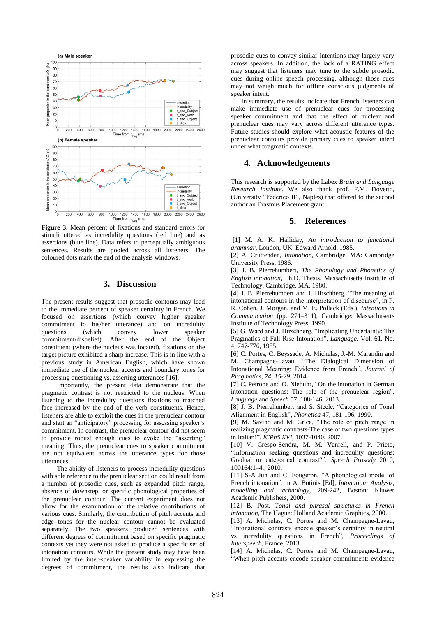

**Figure 3.** Mean percent of fixations and standard errors for stimuli uttered as incredulity questions (red line) and as assertions (blue line). Data refers to perceptually ambiguous sentences. Results are pooled across all listeners. The coloured dots mark the end of the analysis windows.

## **3. Discussion**

The present results suggest that prosodic contours may lead to the immediate percept of speaker certainty in French. We focused on assertions (which convey higher speaker commitment to his/her utterance) and on incredulity questions (which convey lower speaker commitment/disbelief). After the end of the Object constituent (where the nucleus was located), fixations on the target picture exhibited a sharp increase. This is in line with a previous study in American English, which have shown immediate use of the nuclear accents and boundary tones for processing questioning vs. asserting utterances [16].

Importantly, the present data demonstrate that the pragmatic contrast is not restricted to the nucleus. When listening to the incredulity questions fixations to matched face increased by the end of the verb constituents. Hence, listeners are able to exploit the cues in the prenuclear contour and start an "anticipatory" processing for assessing speaker's commitment. In contrast, the prenuclear contour did not seem to provide robust enough cues to evoke the "asserting" meaning. Thus, the prenuclear cues to speaker commitment are not equivalent across the utterance types for those utterances.

The ability of listeners to process incredulity questions with sole reference to the prenuclear section could result from a number of prosodic cues, such as expanded pitch range, absence of downstep, or specific phonological properties of the prenuclear contour. The current experiment does not allow for the examination of the relative contributions of various cues. Similarly, the contribution of pitch accents and edge tones for the nuclear contour cannot be evaluated separately. The two speakers produced sentences with different degrees of commitment based on specific pragmatic contexts yet they were not asked to produce a specific set of intonation contours. While the present study may have been limited by the inter-speaker variability in expressing the degrees of commitment, the results also indicate that prosodic cues to convey similar intentions may largely vary across speakers. In addition, the lack of a RATING effect may suggest that listeners may tune to the subtle prosodic cues during online speech processing, although those cues may not weigh much for offline conscious judgments of speaker intent.

In summary, the results indicate that French listeners can make immediate use of prenuclear cues for processing speaker commitment and that the effect of nuclear and prenuclear cues may vary across different utterance types. Future studies should explore what acoustic features of the prenuclear contours provide primary cues to speaker intent under what pragmatic contexts.

## **4. Acknowledgements**

This research is supported by the Labex *Brain and Language Research Institute*. We also thank prof. F.M. Dovetto, (University "Federico II", Naples) that offered to the second author an Erasmus Placement grant.

#### **5. References**

[1] M. A. K. Halliday, *An introduction to functional grammar*, London, UK: Edward Arnold, 1985.

[2] A. Cruttenden, *Intonation*, Cambridge, MA: Cambridge University Press, 1986.

[3] J. B. Pierrehumbert, *The Phonology and Phonetics of English intonation*, Ph.D. Thesis, Massachusetts Institute of Technology, Cambridge, MA, 1980.

[4] J. B. Pierrehumbert and J. Hirschberg, "The meaning of intonational contours in the interpretation of discourse", in P. R. Cohen, J. Morgan, and M. E. Pollack (Eds.), *Intentions in Communication* (pp. 271–311), Cambridge: Massachusetts Institute of Technology Press, 1990.

[5] G. Ward and J. Hirschberg, "Implicating Uncertainty: The Pragmatics of Fall-Rise Intonation", *Language*, Vol. 61, No. 4, 747-776, 1985.

[6] C. Portes, C. Beyssade, A. Michelas, J.-M. Marandin and M. Champagne-Lavau, "The Dialogical Dimension of Intonational Meaning: Evidence from French", *Journal of Pragmatics, 74, 15-29,* 2014*.*

[7] C. Petrone and O. Niebuhr, "On the intonation in German intonation questions: The role of the prenuclear region", *Language* and *Speech* 57, 108-146, 2013.

[8] J. B. Pierrehumbert and S. Steele, "Categories of Tonal Alignment in English", *Phonetica* 47, 181-196, 1990.

[9] M. Savino and M. Grice, "The role of pitch range in realizing pragmatic contrasts-The case of two questions types in Italian!". *ICPhS XVI*, 1037-1040, 2007.

[10] V. Crespo-Sendra, M. M. Vanrell, and P. Prieto, "Information seeking questions and incredulity questions: Gradual or categorical contrast?", *Speech Prosody* 2010, 100164:1–4., 2010.

[11] S-A Jun and C. Fougeron, "A phonological model of French intonation", in A. Botinis [Ed], *Intonation: Analysis, modelling and technology*, 209-242, Boston: Kluwer Academic Publishers, 2000.

[12] B. Post, *Tonal and phrasal structures in French intonation*, The Hague: Holland Academic Graphics, 2000.

[13] A. Michelas, C. Portes and M. Champagne-Lavau, "Intonational contrasts encode speaker's certainty in neutral vs incredulity questions in French", *Proceedings of Interspeech*, France, 2013.

[14] A. Michelas, C. Portes and M. Champagne-Lavau, "When pitch accents encode speaker commitment: evidence